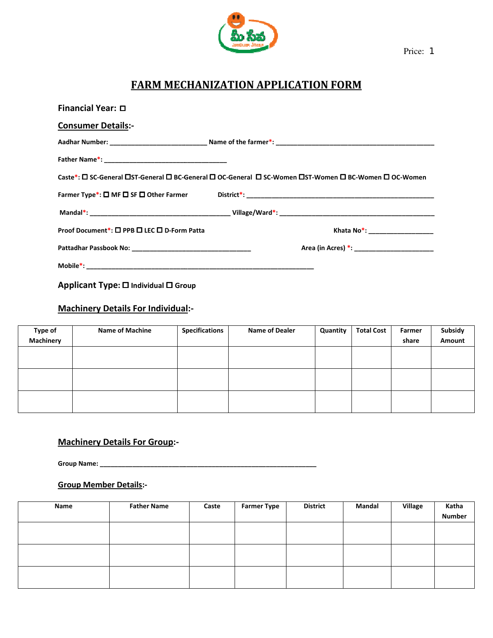

Price: 1

# FARM MECHANIZATION MECHANIZATION APPLICATION FORM

| Financial Year: $\Box$                      |                                                                                                       |
|---------------------------------------------|-------------------------------------------------------------------------------------------------------|
| <b>Consumer Details:-</b>                   |                                                                                                       |
|                                             |                                                                                                       |
|                                             |                                                                                                       |
|                                             | Caste*: □ SC-General □ST-General □ BC-General □ OC-General □ SC-Women □ST-Women □ BC-Women □ OC-Women |
|                                             |                                                                                                       |
|                                             |                                                                                                       |
| Proof Document*: □ PPB □ LEC □ D-Form Patta | Khata No*: ___________________                                                                        |
|                                             | Area (in Acres) *: _________________________                                                          |
|                                             |                                                                                                       |
| Applicant Type: □ Individual □ Group        |                                                                                                       |

Machinery Details For Individual:-

| Type of          | <b>Name of Machine</b> | <b>Specifications</b> | <b>Name of Dealer</b> | Quantity | <b>Total Cost</b> | Farmer | Subsidy |
|------------------|------------------------|-----------------------|-----------------------|----------|-------------------|--------|---------|
| <b>Machinery</b> |                        |                       |                       |          |                   | share  | Amount  |
|                  |                        |                       |                       |          |                   |        |         |
|                  |                        |                       |                       |          |                   |        |         |
|                  |                        |                       |                       |          |                   |        |         |
|                  |                        |                       |                       |          |                   |        |         |
|                  |                        |                       |                       |          |                   |        |         |
|                  |                        |                       |                       |          |                   |        |         |

## Machinery Details For Group:-

### Group Member Details:-

|                               | Group Name: _________ |       |                    |                 |        |         |                        |
|-------------------------------|-----------------------|-------|--------------------|-----------------|--------|---------|------------------------|
| <b>Group Member Details:-</b> |                       |       |                    |                 |        |         |                        |
| Name                          | <b>Father Name</b>    | Caste | <b>Farmer Type</b> | <b>District</b> | Mandal | Village | Katha<br><b>Number</b> |
|                               |                       |       |                    |                 |        |         |                        |
|                               |                       |       |                    |                 |        |         |                        |
|                               |                       |       |                    |                 |        |         |                        |